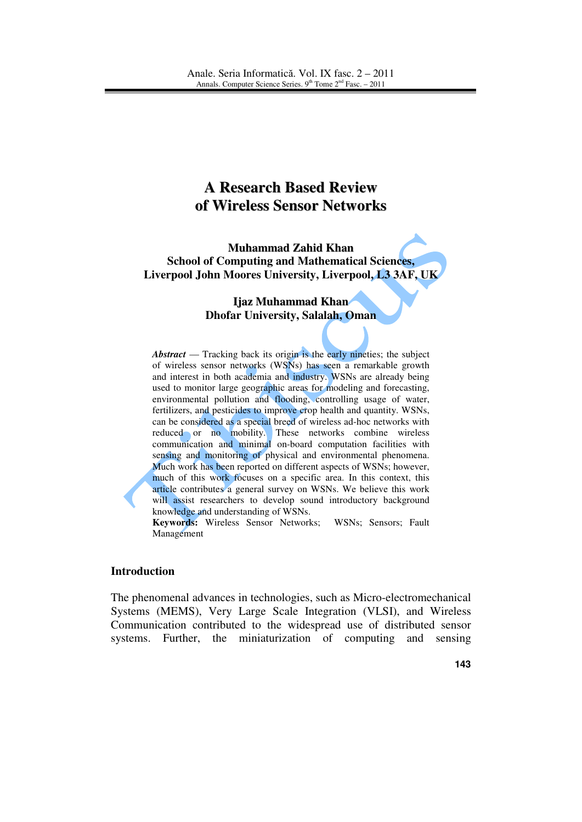# **A Research Based Review of Wireless Sensor Networks**

**Muhammad Zahid Khan School of Computing and Mathematical Sciences, Liverpool John Moores University, Liverpool, L3 3AF, UK** 

#### **Ijaz Muhammad Khan Dhofar University, Salalah, Oman**

*Abstract* — Tracking back its origin is the early nineties; the subject of wireless sensor networks (WSNs) has seen a remarkable growth and interest in both academia and industry. WSNs are already being used to monitor large geographic areas for modeling and forecasting, environmental pollution and flooding, controlling usage of water, fertilizers, and pesticides to improve crop health and quantity. WSNs, can be considered as a special breed of wireless ad-hoc networks with reduced or no mobility. These networks combine wireless communication and minimal on-board computation facilities with sensing and monitoring of physical and environmental phenomena. Much work has been reported on different aspects of WSNs; however, much of this work focuses on a specific area. In this context, this article contributes a general survey on WSNs. We believe this work will assist researchers to develop sound introductory background knowledge and understanding of WSNs.

**Keywords:** Wireless Sensor Networks; WSNs; Sensors; Fault Management

#### **Introduction**

The phenomenal advances in technologies, such as Micro-electromechanical Systems (MEMS), Very Large Scale Integration (VLSI), and Wireless Communication contributed to the widespread use of distributed sensor systems. Further, the miniaturization of computing and sensing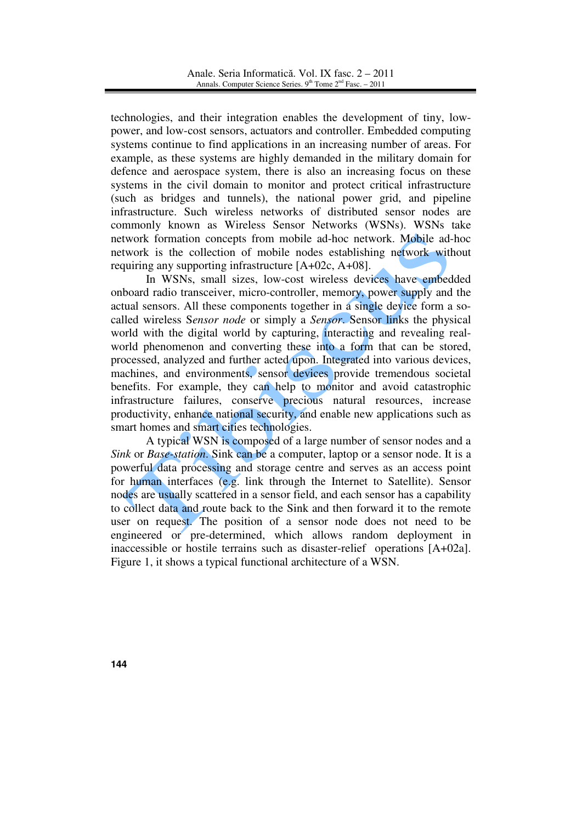technologies, and their integration enables the development of tiny, lowpower, and low-cost sensors, actuators and controller. Embedded computing systems continue to find applications in an increasing number of areas. For example, as these systems are highly demanded in the military domain for defence and aerospace system, there is also an increasing focus on these systems in the civil domain to monitor and protect critical infrastructure (such as bridges and tunnels), the national power grid, and pipeline infrastructure. Such wireless networks of distributed sensor nodes are commonly known as Wireless Sensor Networks (WSNs). WSNs take network formation concepts from mobile ad-hoc network. Mobile ad-hoc network is the collection of mobile nodes establishing network without requiring any supporting infrastructure [A+02c, A+08].

In WSNs, small sizes, low-cost wireless devices have embedded onboard radio transceiver, micro-controller, memory, power supply and the actual sensors. All these components together in a single device form a socalled wireless S*ensor node* or simply a *Sensor*. Sensor links the physical world with the digital world by capturing, interacting and revealing realworld phenomenon and converting these into a form that can be stored, processed, analyzed and further acted upon. Integrated into various devices, machines, and environments, sensor devices provide tremendous societal benefits. For example, they can help to monitor and avoid catastrophic infrastructure failures, conserve precious natural resources, increase productivity, enhance national security, and enable new applications such as smart homes and smart cities technologies.

A typical WSN is composed of a large number of sensor nodes and a *Sink* or *Base-station*. Sink can be a computer, laptop or a sensor node. It is a powerful data processing and storage centre and serves as an access point for human interfaces (e.g. link through the Internet to Satellite). Sensor nodes are usually scattered in a sensor field, and each sensor has a capability to collect data and route back to the Sink and then forward it to the remote user on request. The position of a sensor node does not need to be engineered or pre-determined, which allows random deployment in inaccessible or hostile terrains such as disaster-relief operations [A+02a]. Figure 1, it shows a typical functional architecture of a WSN.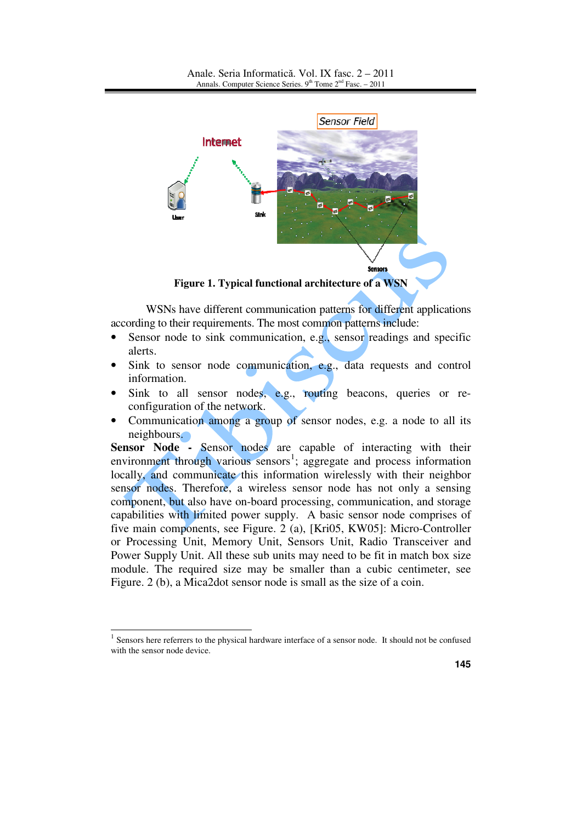

**Figure 1. Typical functional architecture of a WSN**

WSNs have different communication patterns for different applications according to their requirements. The most common patterns include:

- Sensor node to sink communication, e.g., sensor readings and specific alerts.
- Sink to sensor node communication, e.g., data requests and control information.
- Sink to all sensor nodes, e.g., routing beacons, queries or reconfiguration of the network.
- Communication among a group of sensor nodes, e.g. a node to all its neighbours.

**Sensor Node -** Sensor nodes are capable of interacting with their environment through various sensors<sup>1</sup>; aggregate and process information locally, and communicate this information wirelessly with their neighbor sensor nodes. Therefore, a wireless sensor node has not only a sensing component, but also have on-board processing, communication, and storage capabilities with limited power supply. A basic sensor node comprises of five main components, see Figure. 2 (a), [Kri05, KW05]: Micro-Controller or Processing Unit, Memory Unit, Sensors Unit, Radio Transceiver and Power Supply Unit. All these sub units may need to be fit in match box size module. The required size may be smaller than a cubic centimeter, see Figure. 2 (b), a Mica2dot sensor node is small as the size of a coin.

 $\overline{a}$ 

 $<sup>1</sup>$  Sensors here referrers to the physical hardware interface of a sensor node. It should not be confused</sup> with the sensor node device.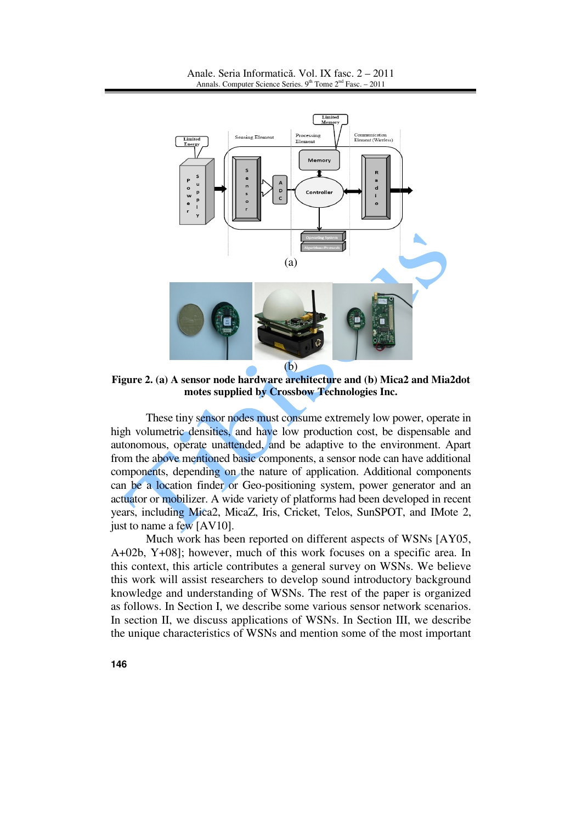

**Figure 2. (a) A sensor node hardware architecture and (b) Mica2 and Mia2dot motes supplied by Crossbow Technologies Inc.**

These tiny sensor nodes must consume extremely low power, operate in high volumetric densities, and have low production cost, be dispensable and autonomous, operate unattended, and be adaptive to the environment. Apart from the above mentioned basic components, a sensor node can have additional components, depending on the nature of application. Additional components can be a location finder or Geo-positioning system, power generator and an actuator or mobilizer. A wide variety of platforms had been developed in recent years, including Mica2, MicaZ, Iris, Cricket, Telos, SunSPOT, and IMote 2, just to name a few [AV10].

Much work has been reported on different aspects of WSNs [AY05, A+02b, Y+08]; however, much of this work focuses on a specific area. In this context, this article contributes a general survey on WSNs. We believe this work will assist researchers to develop sound introductory background knowledge and understanding of WSNs. The rest of the paper is organized as follows. In Section I, we describe some various sensor network scenarios. In section II, we discuss applications of WSNs. In Section III, we describe the unique characteristics of WSNs and mention some of the most important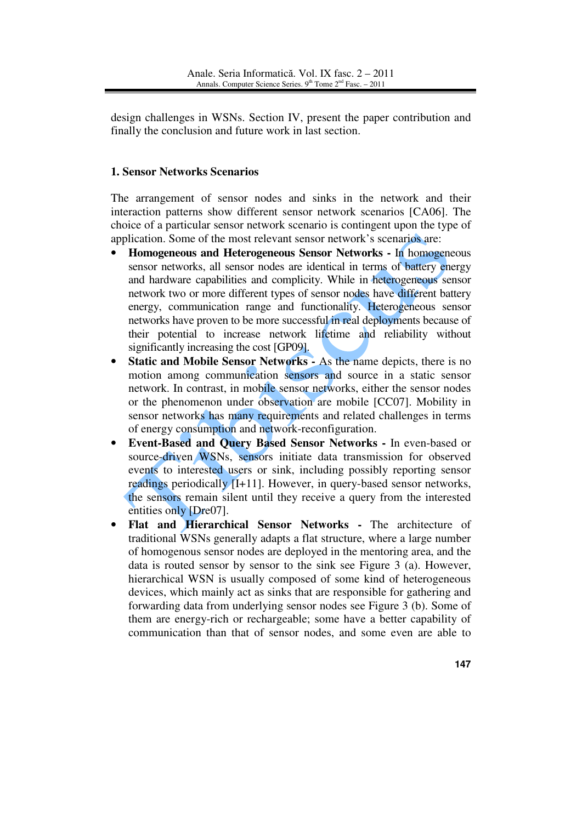design challenges in WSNs. Section IV, present the paper contribution and finally the conclusion and future work in last section.

# **1. Sensor Networks Scenarios**

The arrangement of sensor nodes and sinks in the network and their interaction patterns show different sensor network scenarios [CA06]. The choice of a particular sensor network scenario is contingent upon the type of application. Some of the most relevant sensor network's scenarios are:

- **Homogeneous and Heterogeneous Sensor Networks -** In homogeneous sensor networks, all sensor nodes are identical in terms of battery energy and hardware capabilities and complicity. While in heterogeneous sensor network two or more different types of sensor nodes have different battery energy, communication range and functionality. Heterogeneous sensor networks have proven to be more successful in real deployments because of their potential to increase network lifetime and reliability without significantly increasing the cost [GP09].
- **Static and Mobile Sensor Networks As the name depicts, there is no** motion among communication sensors and source in a static sensor network. In contrast, in mobile sensor networks, either the sensor nodes or the phenomenon under observation are mobile [CC07]. Mobility in sensor networks has many requirements and related challenges in terms of energy consumption and network-reconfiguration.
- **Event-Based and Query Based Sensor Networks -** In even-based or source-driven WSNs, sensors initiate data transmission for observed events to interested users or sink, including possibly reporting sensor readings periodically [I+11]. However, in query-based sensor networks, the sensors remain silent until they receive a query from the interested entities only [Dre07].
- **Flat and Hierarchical Sensor Networks -** The architecture of traditional WSNs generally adapts a flat structure, where a large number of homogenous sensor nodes are deployed in the mentoring area, and the data is routed sensor by sensor to the sink see Figure 3 (a). However, hierarchical WSN is usually composed of some kind of heterogeneous devices, which mainly act as sinks that are responsible for gathering and forwarding data from underlying sensor nodes see Figure 3 (b). Some of them are energy-rich or rechargeable; some have a better capability of communication than that of sensor nodes, and some even are able to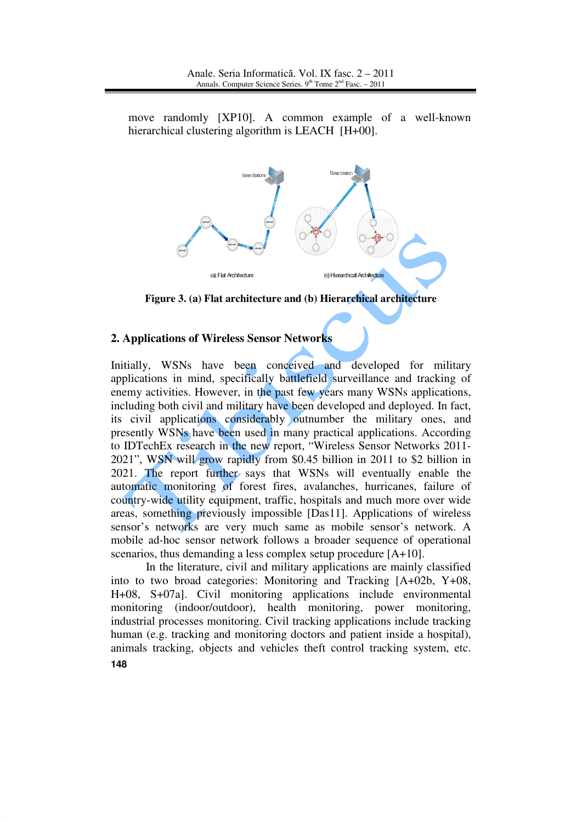move randomly [XP10]. A common example of a well-known hierarchical clustering algorithm is LEACH [H+00].



**Figure 3. (a) Flat architecture and (b) Hierarchical architecture**

## **2. Applications of Wireless Sensor Networks**

Initially, WSNs have been conceived and developed for military applications in mind, specifically battlefield surveillance and tracking of enemy activities. However, in the past few years many WSNs applications, including both civil and military have been developed and deployed. In fact, its civil applications considerably outnumber the military ones, and presently WSNs have been used in many practical applications. According to IDTechEx research in the new report, "Wireless Sensor Networks 2011- 2021", WSN will grow rapidly from \$0.45 billion in 2011 to \$2 billion in 2021. The report further says that WSNs will eventually enable the automatic monitoring of forest fires, avalanches, hurricanes, failure of country-wide utility equipment, traffic, hospitals and much more over wide areas, something previously impossible [Das11]. Applications of wireless sensor's networks are very much same as mobile sensor's network. A mobile ad-hoc sensor network follows a broader sequence of operational scenarios, thus demanding a less complex setup procedure [A+10].

**148** In the literature, civil and military applications are mainly classified into to two broad categories: Monitoring and Tracking [A+02b, Y+08, H+08, S+07a]. Civil monitoring applications include environmental monitoring (indoor/outdoor), health monitoring, power monitoring, industrial processes monitoring. Civil tracking applications include tracking human (e.g. tracking and monitoring doctors and patient inside a hospital), animals tracking, objects and vehicles theft control tracking system, etc.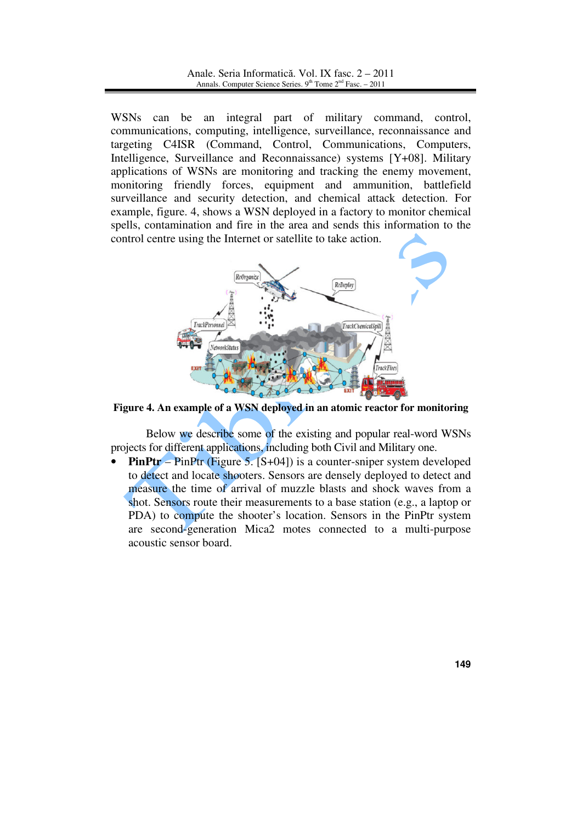WSNs can be an integral part of military command, control, communications, computing, intelligence, surveillance, reconnaissance and targeting C4ISR (Command, Control, Communications, Computers, Intelligence, Surveillance and Reconnaissance) systems [Y+08]. Military applications of WSNs are monitoring and tracking the enemy movement, monitoring friendly forces, equipment and ammunition, battlefield surveillance and security detection, and chemical attack detection. For example, figure. 4, shows a WSN deployed in a factory to monitor chemical spells, contamination and fire in the area and sends this information to the control centre using the Internet or satellite to take action.



**Figure 4. An example of a WSN deployed in an atomic reactor for monitoring**

Below we describe some of the existing and popular real-word WSNs projects for different applications, including both Civil and Military one.

**PinPtr** – PinPtr (Figure 5. [S+04]) is a counter-sniper system developed to detect and locate shooters. Sensors are densely deployed to detect and measure the time of arrival of muzzle blasts and shock waves from a shot. Sensors route their measurements to a base station (e.g., a laptop or PDA) to compute the shooter's location. Sensors in the PinPtr system are second-generation Mica2 motes connected to a multi-purpose acoustic sensor board.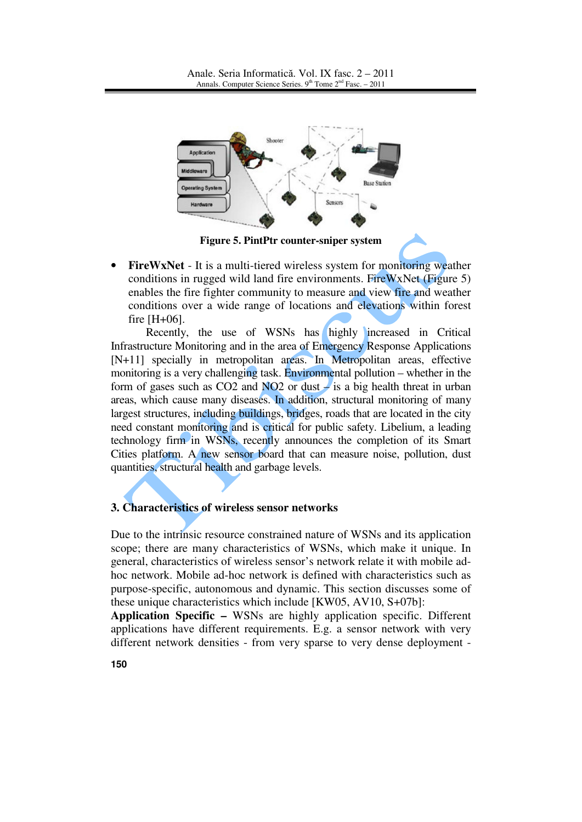

**Figure 5. PintPtr counter-sniper system**

• **FireWxNet** - It is a multi-tiered wireless system for monitoring weather conditions in rugged wild land fire environments. FireWxNet (Figure 5) enables the fire fighter community to measure and view fire and weather conditions over a wide range of locations and elevations within forest fire [H+06].

Recently, the use of WSNs has highly increased in Critical Infrastructure Monitoring and in the area of Emergency Response Applications [N+11] specially in metropolitan areas. In Metropolitan areas, effective monitoring is a very challenging task. Environmental pollution – whether in the form of gases such as  $CO2$  and  $NO2$  or dust  $\neq$  is a big health threat in urban areas, which cause many diseases. In addition, structural monitoring of many largest structures, including buildings, bridges, roads that are located in the city need constant monitoring and is critical for public safety. Libelium, a leading technology firm in WSNs, recently announces the completion of its Smart Cities platform. A new sensor board that can measure noise, pollution, dust quantities, structural health and garbage levels.

#### **3. Characteristics of wireless sensor networks**

Due to the intrinsic resource constrained nature of WSNs and its application scope; there are many characteristics of WSNs, which make it unique. In general, characteristics of wireless sensor's network relate it with mobile adhoc network. Mobile ad-hoc network is defined with characteristics such as purpose-specific, autonomous and dynamic. This section discusses some of these unique characteristics which include [KW05, AV10, S+07b]:

**Application Specific –** WSNs are highly application specific. Different applications have different requirements. E.g. a sensor network with very different network densities - from very sparse to very dense deployment -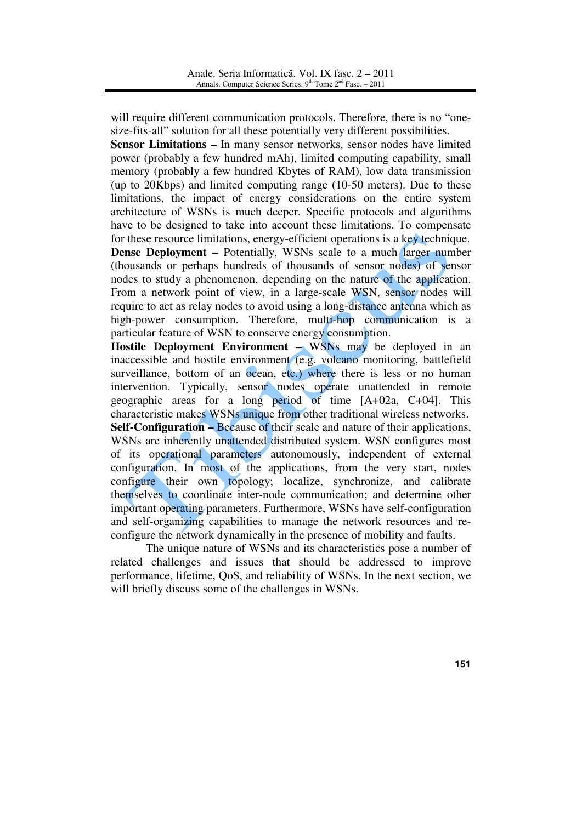will require different communication protocols. Therefore, there is no "onesize-fits-all" solution for all these potentially very different possibilities.

**Sensor Limitations –** In many sensor networks, sensor nodes have limited power (probably a few hundred mAh), limited computing capability, small memory (probably a few hundred Kbytes of RAM), low data transmission (up to 20Kbps) and limited computing range (10-50 meters). Due to these limitations, the impact of energy considerations on the entire system architecture of WSNs is much deeper. Specific protocols and algorithms have to be designed to take into account these limitations. To compensate for these resource limitations, energy-efficient operations is a key technique. **Dense Deployment –** Potentially, WSNs scale to a much larger number (thousands or perhaps hundreds of thousands of sensor nodes) of sensor nodes to study a phenomenon, depending on the nature of the application. From a network point of view, in a large-scale WSN, sensor nodes will require to act as relay nodes to avoid using a long-distance antenna which as high-power consumption. Therefore, multi-hop communication is a particular feature of WSN to conserve energy consumption.

**Hostile Deployment Environment –** WSNs may be deployed in an inaccessible and hostile environment (e.g. volcano monitoring, battlefield surveillance, bottom of an ocean, etc.) where there is less or no human intervention. Typically, sensor nodes operate unattended in remote geographic areas for a long period of time [A+02a, C+04]. This characteristic makes WSNs unique from other traditional wireless networks. **Self-Configuration –** Because of their scale and nature of their applications, WSNs are inherently unattended distributed system. WSN configures most of its operational parameters autonomously, independent of external configuration. In most of the applications, from the very start, nodes configure their own topology; localize, synchronize, and calibrate themselves to coordinate inter-node communication; and determine other important operating parameters. Furthermore, WSNs have self-configuration and self-organizing capabilities to manage the network resources and reconfigure the network dynamically in the presence of mobility and faults.

The unique nature of WSNs and its characteristics pose a number of related challenges and issues that should be addressed to improve performance, lifetime, QoS, and reliability of WSNs. In the next section, we will briefly discuss some of the challenges in WSNs.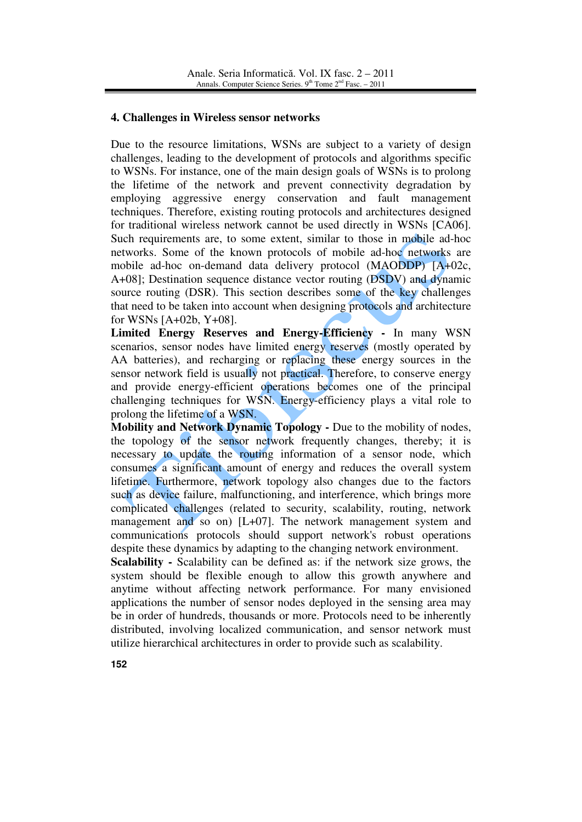#### **4. Challenges in Wireless sensor networks**

Due to the resource limitations, WSNs are subject to a variety of design challenges, leading to the development of protocols and algorithms specific to WSNs. For instance, one of the main design goals of WSNs is to prolong the lifetime of the network and prevent connectivity degradation by employing aggressive energy conservation and fault management techniques. Therefore, existing routing protocols and architectures designed for traditional wireless network cannot be used directly in WSNs [CA06]. Such requirements are, to some extent, similar to those in mobile ad-hoc networks. Some of the known protocols of mobile ad-hoc networks are mobile ad-hoc on-demand data delivery protocol (MAODDP) [A+02c, A+08]; Destination sequence distance vector routing (DSDV) and dynamic source routing (DSR). This section describes some of the key challenges that need to be taken into account when designing protocols and architecture for WSNs [A+02b, Y+08].

**Limited Energy Reserves and Energy-Efficiency - In many WSN** scenarios, sensor nodes have limited energy reserves (mostly operated by AA batteries), and recharging or replacing these energy sources in the sensor network field is usually not practical. Therefore, to conserve energy and provide energy-efficient operations becomes one of the principal challenging techniques for WSN. Energy-efficiency plays a vital role to prolong the lifetime of a WSN.

**Mobility and Network Dynamic Topology -** Due to the mobility of nodes, the topology of the sensor network frequently changes, thereby; it is necessary to update the routing information of a sensor node, which consumes a significant amount of energy and reduces the overall system lifetime. Furthermore, network topology also changes due to the factors such as device failure, malfunctioning, and interference, which brings more complicated challenges (related to security, scalability, routing, network management and so on) [L+07]. The network management system and communications protocols should support network's robust operations despite these dynamics by adapting to the changing network environment.

**Scalability -** Scalability can be defined as: if the network size grows, the system should be flexible enough to allow this growth anywhere and anytime without affecting network performance. For many envisioned applications the number of sensor nodes deployed in the sensing area may be in order of hundreds, thousands or more. Protocols need to be inherently distributed, involving localized communication, and sensor network must utilize hierarchical architectures in order to provide such as scalability.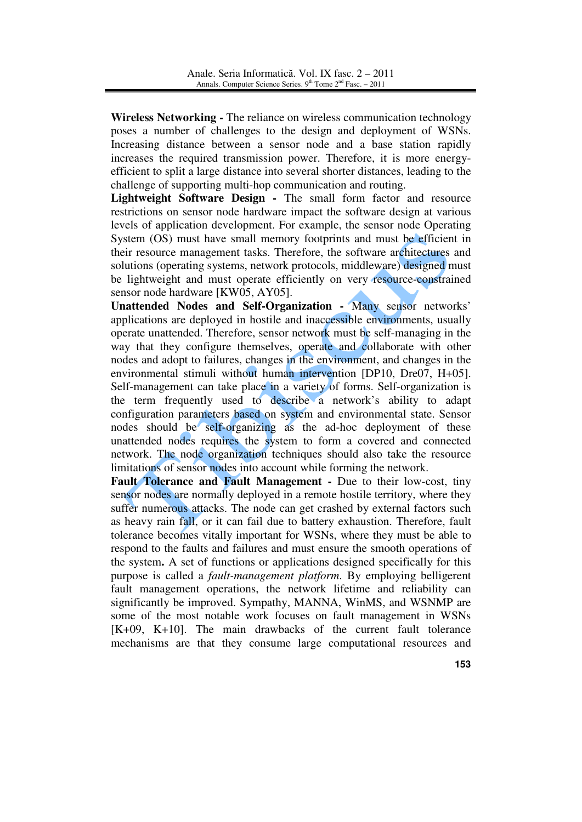**Wireless Networking -** The reliance on wireless communication technology poses a number of challenges to the design and deployment of WSNs. Increasing distance between a sensor node and a base station rapidly increases the required transmission power. Therefore, it is more energyefficient to split a large distance into several shorter distances, leading to the challenge of supporting multi-hop communication and routing.

**Lightweight Software Design -** The small form factor and resource restrictions on sensor node hardware impact the software design at various levels of application development. For example, the sensor node Operating System (OS) must have small memory footprints and must be efficient in their resource management tasks. Therefore, the software architectures and solutions (operating systems, network protocols, middleware) designed must be lightweight and must operate efficiently on very resource-constrained sensor node hardware [KW05, AY05].

**Unattended Nodes and Self-Organization -** Many sensor networks' applications are deployed in hostile and inaccessible environments, usually operate unattended. Therefore, sensor network must be self-managing in the way that they configure themselves, operate and collaborate with other nodes and adopt to failures, changes in the environment, and changes in the environmental stimuli without human intervention [DP10, Dre07, H+05]. Self-management can take place in a variety of forms. Self-organization is the term frequently used to describe a network's ability to adapt configuration parameters based on system and environmental state. Sensor nodes should be self-organizing as the ad-hoc deployment of these unattended nodes requires the system to form a covered and connected network. The node organization techniques should also take the resource limitations of sensor nodes into account while forming the network.

Fault Tolerance and Fault Management - Due to their low-cost, tiny sensor nodes are normally deployed in a remote hostile territory, where they suffer numerous attacks. The node can get crashed by external factors such as heavy rain fall, or it can fail due to battery exhaustion. Therefore, fault tolerance becomes vitally important for WSNs, where they must be able to respond to the faults and failures and must ensure the smooth operations of the system**.** A set of functions or applications designed specifically for this purpose is called a *fault-management platform*. By employing belligerent fault management operations, the network lifetime and reliability can significantly be improved. Sympathy, MANNA, WinMS, and WSNMP are some of the most notable work focuses on fault management in WSNs [K+09, K+10]. The main drawbacks of the current fault tolerance mechanisms are that they consume large computational resources and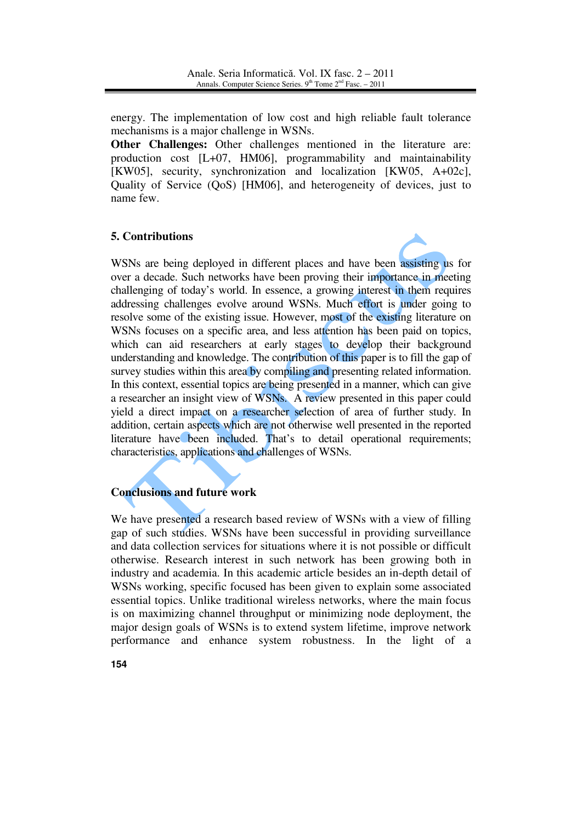energy. The implementation of low cost and high reliable fault tolerance mechanisms is a major challenge in WSNs.

**Other Challenges:** Other challenges mentioned in the literature are: production cost [L+07, HM06], programmability and maintainability [KW05], security, synchronization and localization [KW05, A+02c], Quality of Service (QoS) [HM06], and heterogeneity of devices, just to name few.

# **5. Contributions**



WSNs are being deployed in different places and have been assisting us for over a decade. Such networks have been proving their importance in meeting challenging of today's world. In essence, a growing interest in them requires addressing challenges evolve around WSNs. Much effort is under going to resolve some of the existing issue. However, most of the existing literature on WSNs focuses on a specific area, and less attention has been paid on topics, which can aid researchers at early stages to develop their background understanding and knowledge. The contribution of this paper is to fill the gap of survey studies within this area by compiling and presenting related information. In this context, essential topics are being presented in a manner, which can give a researcher an insight view of WSNs. A review presented in this paper could yield a direct impact on a researcher selection of area of further study. In addition, certain aspects which are not otherwise well presented in the reported literature have been included. That's to detail operational requirements; characteristics, applications and challenges of WSNs.

# **Conclusions and future work**

We have presented a research based review of WSNs with a view of filling gap of such studies. WSNs have been successful in providing surveillance and data collection services for situations where it is not possible or difficult otherwise. Research interest in such network has been growing both in industry and academia. In this academic article besides an in-depth detail of WSNs working, specific focused has been given to explain some associated essential topics. Unlike traditional wireless networks, where the main focus is on maximizing channel throughput or minimizing node deployment, the major design goals of WSNs is to extend system lifetime, improve network performance and enhance system robustness. In the light of a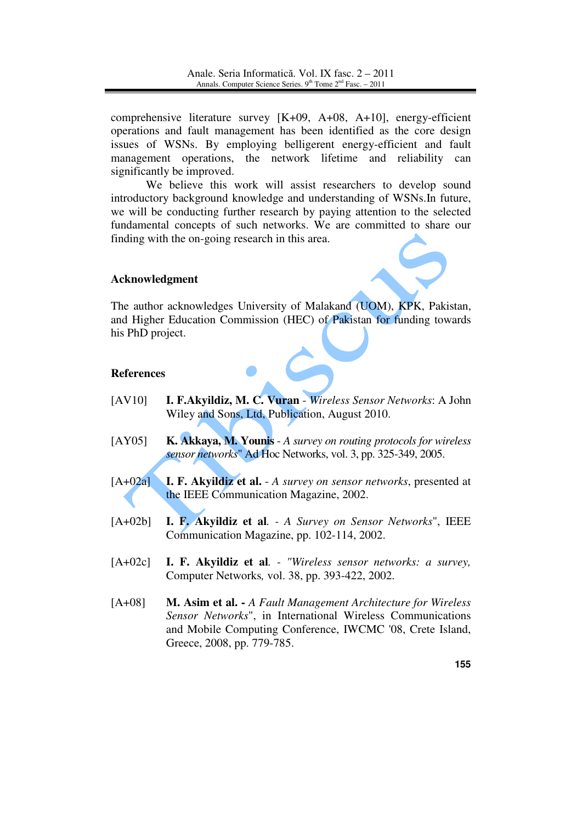comprehensive literature survey [K+09, A+08, A+10], energy-efficient operations and fault management has been identified as the core design issues of WSNs. By employing belligerent energy-efficient and fault management operations, the network lifetime and reliability can significantly be improved.

We believe this work will assist researchers to develop sound introductory background knowledge and understanding of WSNs.In future, we will be conducting further research by paying attention to the selected fundamental concepts of such networks. We are committed to share our finding with the on-going research in this area.

## **Acknowledgment**

The author acknowledges University of Malakand (UOM), KPK, Pakistan, and Higher Education Commission (HEC) of Pakistan for funding towards his PhD project.

## **References**

- [AV10] **I. F.Akyildiz, M. C. Vuran** *Wireless Sensor Networks*: A John Wiley and Sons, Ltd, Publication, August 2010.
- [AY05] **K. Akkaya, M. Younis** *A survey on routing protocols for wireless sensor networks*" Ad Hoc Networks, vol. 3, pp. 325-349, 2005.
- [A+02a] **I. F. Akyildiz et al.** *A survey on sensor networks*, presented at the IEEE Communication Magazine, 2002.
- [A+02b] **I. F. Akyildiz et al***. A Survey on Sensor Networks*", IEEE Communication Magazine, pp. 102-114, 2002.
- [A+02c] **I. F. Akyildiz et al***. "Wireless sensor networks: a survey,*  Computer Networks*,* vol. 38, pp. 393-422, 2002.
- [A+08] **M. Asim et al.** *A Fault Management Architecture for Wireless Sensor Networks*", in International Wireless Communications and Mobile Computing Conference, IWCMC '08, Crete Island, Greece, 2008, pp. 779-785.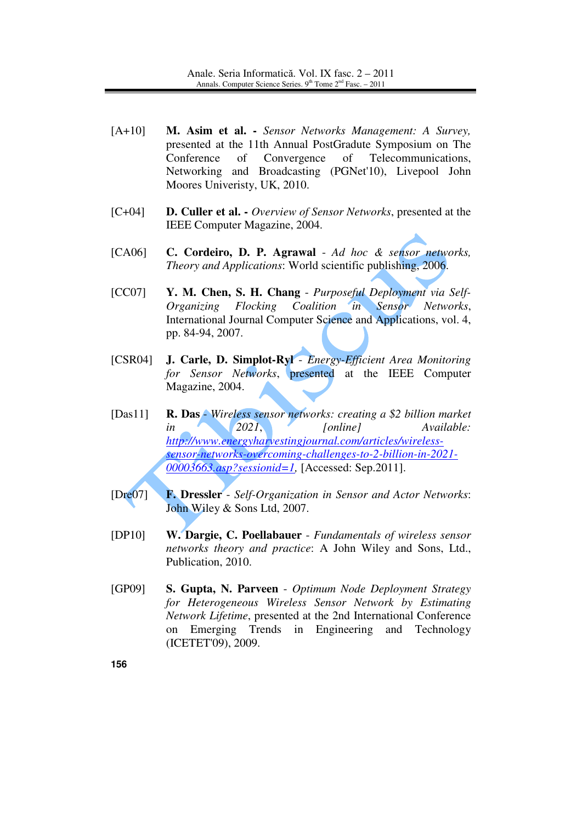- [A+10] **M. Asim et al.** *Sensor Networks Management: A Survey,*  presented at the 11th Annual PostGradute Symposium on The Conference of Convergence of Telecommunications, Networking and Broadcasting (PGNet'10), Livepool John Moores Univeristy, UK, 2010.
- [C+04] **D. Culler et al.** *Overview of Sensor Networks*, presented at the IEEE Computer Magazine, 2004.
- [CA06] **C. Cordeiro, D. P. Agrawal** *Ad hoc & sensor networks, Theory and Applications*: World scientific publishing, 2006.
- [CC07] **Y. M. Chen, S. H. Chang** *Purposeful Deployment via Self-Organizing Flocking Coalition in Sensor Networks*, International Journal Computer Science and Applications, vol. 4, pp. 84-94, 2007.
- [CSR04] **J. Carle, D. Simplot-Ryl** *Energy-Efficient Area Monitoring for Sensor Networks*, presented at the IEEE Computer Magazine, 2004.
- [Das11] **R. Das** *Wireless sensor networks: creating a \$2 billion market in 2021*, *[online] Available: http://www.energyharvestingjournal.com/articles/wirelesssensor-networks-overcoming-challenges-to-2-billion-in-2021- 00003663.asp?sessionid=1,* [Accessed: Sep.2011].
- [Dre07] **F. Dressler** *Self-Organization in Sensor and Actor Networks*: John Wiley & Sons Ltd, 2007.
- [DP10] **W. Dargie, C. Poellabauer** *Fundamentals of wireless sensor networks theory and practice*: A John Wiley and Sons, Ltd., Publication, 2010.
- [GP09] **S. Gupta, N. Parveen** *Optimum Node Deployment Strategy for Heterogeneous Wireless Sensor Network by Estimating Network Lifetime*, presented at the 2nd International Conference on Emerging Trends in Engineering and Technology (ICETET'09), 2009.

**156**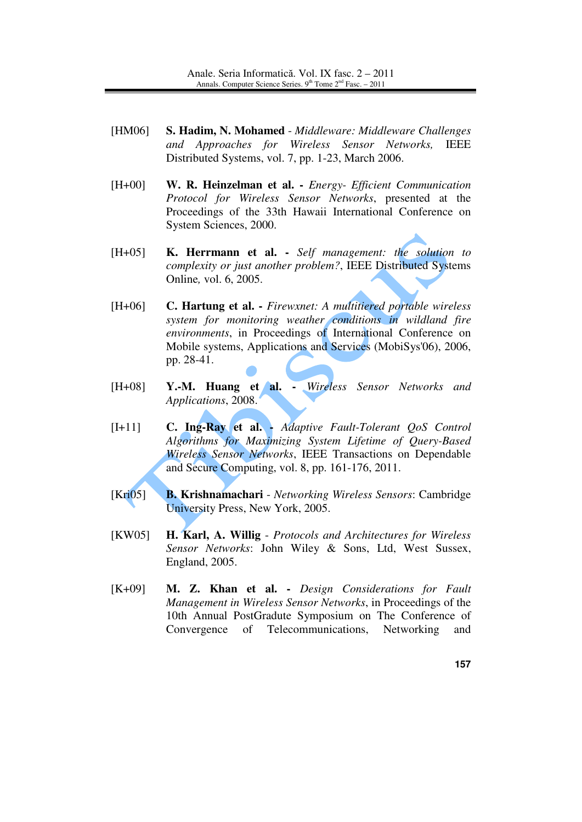- [HM06] **S. Hadim, N. Mohamed** *Middleware: Middleware Challenges and Approaches for Wireless Sensor Networks,* IEEE Distributed Systems, vol. 7, pp. 1-23, March 2006.
- [H+00] **W. R. Heinzelman et al.** *Energy- Efficient Communication Protocol for Wireless Sensor Networks*, presented at the Proceedings of the 33th Hawaii International Conference on System Sciences, 2000.
- [H+05] **K. Herrmann et al.** *Self management: the solution to complexity or just another problem?*, IEEE Distributed Systems Online*,* vol. 6, 2005.
- [H+06] **C. Hartung et al.** *Firewxnet: A multitiered portable wireless system for monitoring weather conditions in wildland fire environments*, in Proceedings of International Conference on Mobile systems, Applications and Services (MobiSys'06), 2006, pp. 28-41.
- [H+08] **Y.-M. Huang et al.** *Wireless Sensor Networks and Applications*, 2008.
- [I+11] **C. Ing-Ray et al.** *Adaptive Fault-Tolerant QoS Control Algorithms for Maximizing System Lifetime of Query-Based Wireless Sensor Networks*, IEEE Transactions on Dependable and Secure Computing, vol. 8, pp. 161-176, 2011.
- [Kri05] **B. Krishnamachari** *Networking Wireless Sensors*: Cambridge University Press, New York, 2005.
- [KW05] **H. Karl, A. Willig** *Protocols and Architectures for Wireless Sensor Networks*: John Wiley & Sons, Ltd, West Sussex, England, 2005.
- [K+09] **M. Z. Khan et al.** *Design Considerations for Fault Management in Wireless Sensor Networks*, in Proceedings of the 10th Annual PostGradute Symposium on The Conference of Convergence of Telecommunications, Networking and